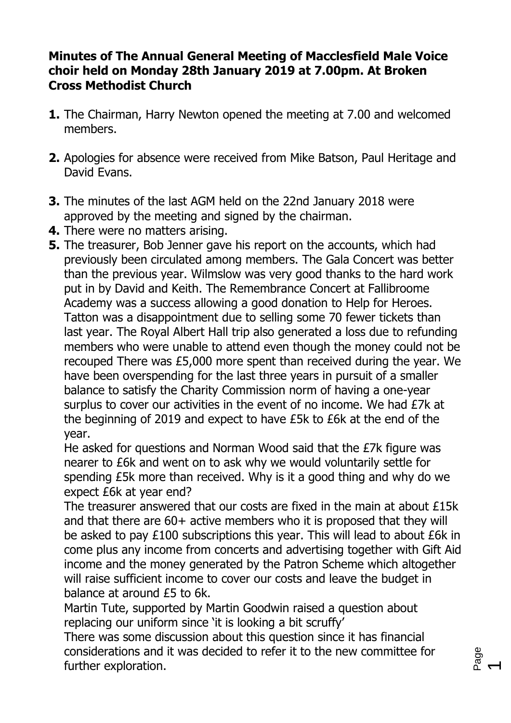## **Minutes of The Annual General Meeting of Macclesfield Male Voice choir held on Monday 28th January 2019 at 7.00pm. At Broken Cross Methodist Church**

- **1.** The Chairman, Harry Newton opened the meeting at 7.00 and welcomed members.
- **2.** Apologies for absence were received from Mike Batson, Paul Heritage and David Evans.
- **3.** The minutes of the last AGM held on the 22nd January 2018 were approved by the meeting and signed by the chairman.
- **4.** There were no matters arising.
- **5.** The treasurer, Bob Jenner gave his report on the accounts, which had previously been circulated among members. The Gala Concert was better than the previous year. Wilmslow was very good thanks to the hard work put in by David and Keith. The Remembrance Concert at Fallibroome Academy was a success allowing a good donation to Help for Heroes. Tatton was a disappointment due to selling some 70 fewer tickets than last year. The Royal Albert Hall trip also generated a loss due to refunding members who were unable to attend even though the money could not be recouped There was £5,000 more spent than received during the year. We have been overspending for the last three years in pursuit of a smaller balance to satisfy the Charity Commission norm of having a one-year surplus to cover our activities in the event of no income. We had £7k at the beginning of 2019 and expect to have £5k to £6k at the end of the year.

He asked for questions and Norman Wood said that the £7k figure was nearer to £6k and went on to ask why we would voluntarily settle for spending £5k more than received. Why is it a good thing and why do we expect £6k at year end?

The treasurer answered that our costs are fixed in the main at about £15k and that there are 60+ active members who it is proposed that they will be asked to pay £100 subscriptions this year. This will lead to about £6k in come plus any income from concerts and advertising together with Gift Aid income and the money generated by the Patron Scheme which altogether will raise sufficient income to cover our costs and leave the budget in balance at around £5 to 6k.

Martin Tute, supported by Martin Goodwin raised a question about replacing our uniform since 'it is looking a bit scruffy'

There was some discussion about this question since it has financial considerations and it was decided to refer it to the new committee for further exploration.

Page

 $\overline{\phantom{0}}$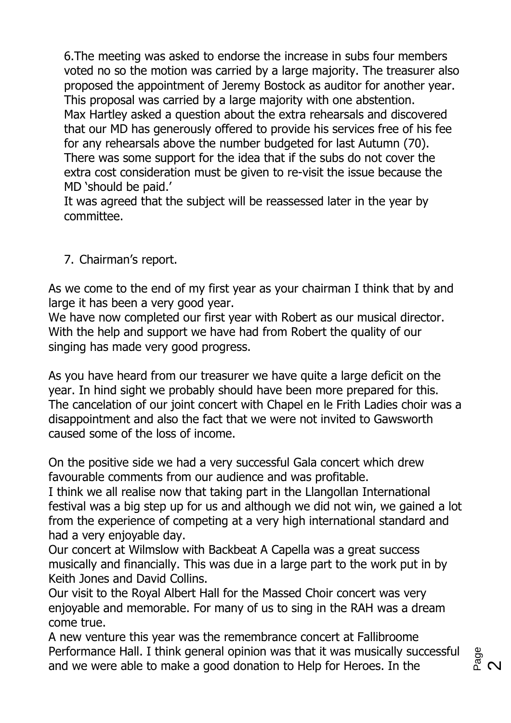6.The meeting was asked to endorse the increase in subs four members voted no so the motion was carried by a large majority. The treasurer also proposed the appointment of Jeremy Bostock as auditor for another year. This proposal was carried by a large majority with one abstention. Max Hartley asked a question about the extra rehearsals and discovered that our MD has generously offered to provide his services free of his fee for any rehearsals above the number budgeted for last Autumn (70). There was some support for the idea that if the subs do not cover the extra cost consideration must be given to re-visit the issue because the MD 'should be paid.'

It was agreed that the subject will be reassessed later in the year by committee.

## 7. Chairman's report.

As we come to the end of my first year as your chairman I think that by and large it has been a very good year.

We have now completed our first year with Robert as our musical director. With the help and support we have had from Robert the quality of our singing has made very good progress.

As you have heard from our treasurer we have quite a large deficit on the year. In hind sight we probably should have been more prepared for this. The cancelation of our joint concert with Chapel en le Frith Ladies choir was a disappointment and also the fact that we were not invited to Gawsworth caused some of the loss of income.

On the positive side we had a very successful Gala concert which drew favourable comments from our audience and was profitable.

I think we all realise now that taking part in the Llangollan International festival was a big step up for us and although we did not win, we gained a lot from the experience of competing at a very high international standard and had a very enjoyable day.

Our concert at Wilmslow with Backbeat A Capella was a great success musically and financially. This was due in a large part to the work put in by Keith Jones and David Collins.

Our visit to the Royal Albert Hall for the Massed Choir concert was very enjoyable and memorable. For many of us to sing in the RAH was a dream come true.

A new venture this year was the remembrance concert at Fallibroome Performance Hall. I think general opinion was that it was musically successful and we were able to make a good donation to Help for Heroes. In the

<sup>Bage</sup>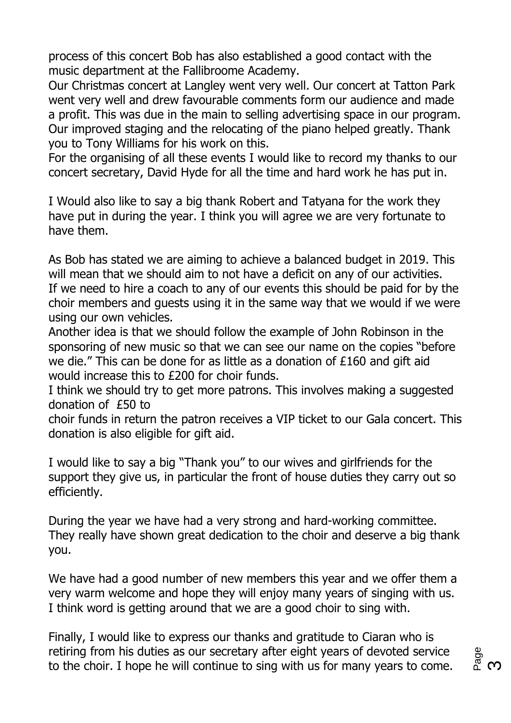process of this concert Bob has also established a good contact with the music department at the Fallibroome Academy.

Our Christmas concert at Langley went very well. Our concert at Tatton Park went very well and drew favourable comments form our audience and made a profit. This was due in the main to selling advertising space in our program. Our improved staging and the relocating of the piano helped greatly. Thank you to Tony Williams for his work on this.

For the organising of all these events I would like to record my thanks to our concert secretary, David Hyde for all the time and hard work he has put in.

I Would also like to say a big thank Robert and Tatyana for the work they have put in during the year. I think you will agree we are very fortunate to have them.

As Bob has stated we are aiming to achieve a balanced budget in 2019. This will mean that we should aim to not have a deficit on any of our activities. If we need to hire a coach to any of our events this should be paid for by the choir members and guests using it in the same way that we would if we were using our own vehicles.

Another idea is that we should follow the example of John Robinson in the sponsoring of new music so that we can see our name on the copies "before we die." This can be done for as little as a donation of £160 and gift aid would increase this to £200 for choir funds.

I think we should try to get more patrons. This involves making a suggested donation of £50 to

choir funds in return the patron receives a VIP ticket to our Gala concert. This donation is also eligible for gift aid.

I would like to say a big "Thank you" to our wives and girlfriends for the support they give us, in particular the front of house duties they carry out so efficiently.

During the year we have had a very strong and hard-working committee. They really have shown great dedication to the choir and deserve a big thank you.

We have had a good number of new members this year and we offer them a very warm welcome and hope they will enjoy many years of singing with us. I think word is getting around that we are a good choir to sing with.

Finally, I would like to express our thanks and gratitude to Ciaran who is retiring from his duties as our secretary after eight years of devoted service to the choir. I hope he will continue to sing with us for many years to come.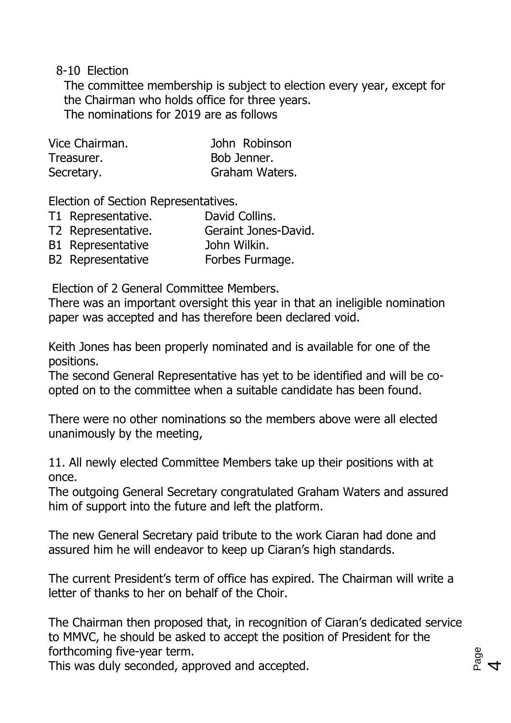8-10 Election

The committee membership is subject to election every year, except for the Chairman who holds office for three years. The nominations for 2019 are as follows

| Vice Chairman. | John Robinson  |
|----------------|----------------|
| Treasurer.     | Bob Jenner.    |
| Secretary.     | Graham Waters. |

Election of Section Representatives.

- T1 Representative. David Collins.
- T2 Representative. Geraint Jones-David.
- B1 Representative John Wilkin.
- B2 Representative Forbes Furmage.

Election of 2 General Committee Members.

There was an important oversight this year in that an ineligible nomination paper was accepted and has therefore been declared void.

Keith Jones has been properly nominated and is available for one of the positions.

The second General Representative has yet to be identified and will be coopted on to the committee when a suitable candidate has been found.

There were no other nominations so the members above were all elected unanimously by the meeting,

11. All newly elected Committee Members take up their positions with at once.

The outgoing General Secretary congratulated Graham Waters and assured him of support into the future and left the platform.

The new General Secretary paid tribute to the work Ciaran had done and assured him he will endeavor to keep up Ciaran's high standards.

The current President's term of office has expired. The Chairman will write a letter of thanks to her on behalf of the Choir.

The Chairman then proposed that, in recognition of Ciaran's dedicated service to MMVC, he should be asked to accept the position of President for the forthcoming five-year term.

This was duly seconded, approved and accepted.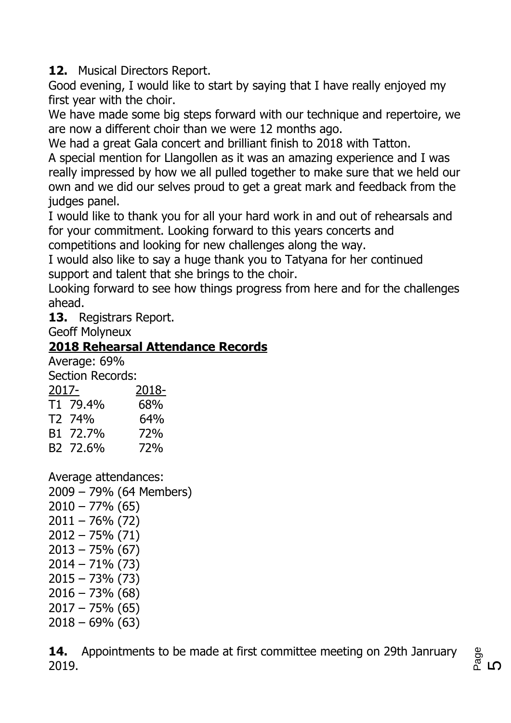**12.** Musical Directors Report.

Good evening, I would like to start by saying that I have really enjoyed my first year with the choir.

We have made some big steps forward with our technique and repertoire, we are now a different choir than we were 12 months ago.

We had a great Gala concert and brilliant finish to 2018 with Tatton.

A special mention for Llangollen as it was an amazing experience and I was really impressed by how we all pulled together to make sure that we held our own and we did our selves proud to get a great mark and feedback from the judges panel.

I would like to thank you for all your hard work in and out of rehearsals and for your commitment. Looking forward to this years concerts and competitions and looking for new challenges along the way.

I would also like to say a huge thank you to Tatyana for her continued support and talent that she brings to the choir.

Looking forward to see how things progress from here and for the challenges ahead.

**13.** Registrars Report.

Geoff Molyneux

## **2018 Rehearsal Attendance Records**

Average: 69% Section Records:

| JCLINII INCLUIUS. |                      |       |
|-------------------|----------------------|-------|
| 2017-             |                      | 2018- |
|                   | T <sub>1</sub> 79.4% | 68%   |
|                   | T <sub>2</sub> 74%   | 64%   |
|                   | B1 72.7%             | 72%   |
|                   | B2 72.6%             | 72%   |

Average attendances: 2009 – 79% (64 Members)  $2010 - 77\%$  (65) 2011 – 76% (72) 2012 – 75% (71)  $2013 - 75\%$  (67) 2014 – 71% (73) 2015 – 73% (73)  $2016 - 73\%$  (68)  $2017 - 75\%$  (65)  $2018 - 69\%$  (63)

**14.** Appointments to be made at first committee meeting on 29th Janruary 2019.